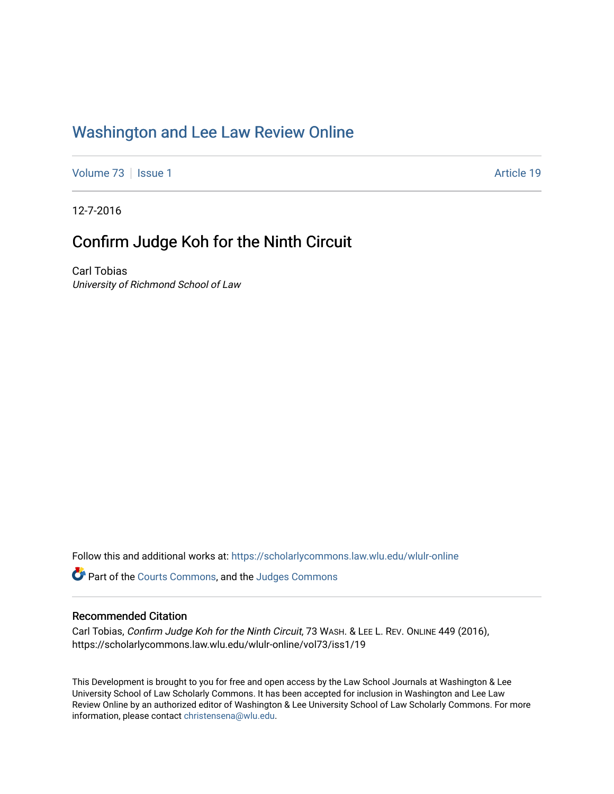### [Washington and Lee Law Review Online](https://scholarlycommons.law.wlu.edu/wlulr-online)

[Volume 73](https://scholarlycommons.law.wlu.edu/wlulr-online/vol73) | [Issue 1](https://scholarlycommons.law.wlu.edu/wlulr-online/vol73/iss1) Article 19

12-7-2016

## Confirm Judge Koh for the Ninth Circuit

Carl Tobias University of Richmond School of Law

Follow this and additional works at: [https://scholarlycommons.law.wlu.edu/wlulr-online](https://scholarlycommons.law.wlu.edu/wlulr-online?utm_source=scholarlycommons.law.wlu.edu%2Fwlulr-online%2Fvol73%2Fiss1%2F19&utm_medium=PDF&utm_campaign=PDFCoverPages) 

**P** Part of the [Courts Commons,](http://network.bepress.com/hgg/discipline/839?utm_source=scholarlycommons.law.wlu.edu%2Fwlulr-online%2Fvol73%2Fiss1%2F19&utm_medium=PDF&utm_campaign=PDFCoverPages) and the Judges Commons

#### Recommended Citation

Carl Tobias, Confirm Judge Koh for the Ninth Circuit, 73 WASH. & LEE L. REV. ONLINE 449 (2016), https://scholarlycommons.law.wlu.edu/wlulr-online/vol73/iss1/19

This Development is brought to you for free and open access by the Law School Journals at Washington & Lee University School of Law Scholarly Commons. It has been accepted for inclusion in Washington and Lee Law Review Online by an authorized editor of Washington & Lee University School of Law Scholarly Commons. For more information, please contact [christensena@wlu.edu](mailto:christensena@wlu.edu).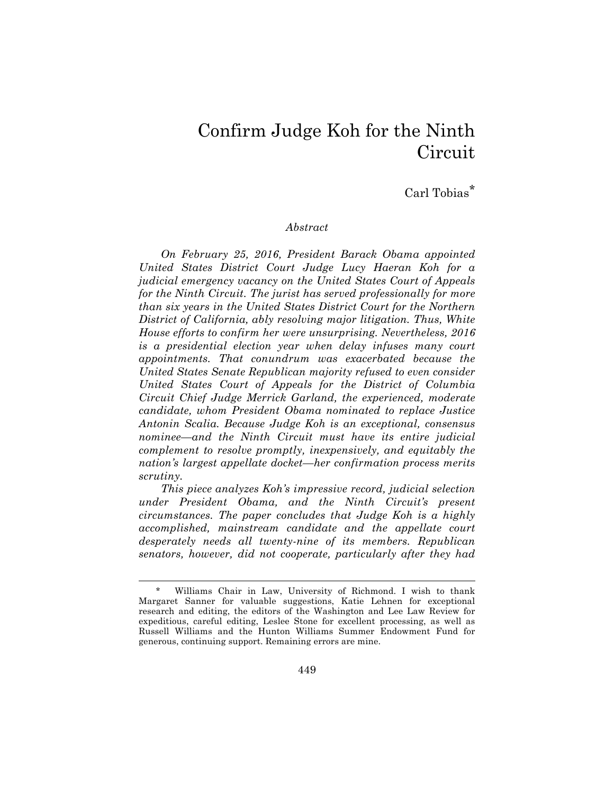# Confirm Judge Koh for the Ninth **Circuit**

Carl Tobias<sup>\*</sup>

#### *Abstract*

*On February 25, 2016, President Barack Obama appointed United States District Court Judge Lucy Haeran Koh for a judicial emergency vacancy on the United States Court of Appeals for the Ninth Circuit. The jurist has served professionally for more than six years in the United States District Court for the Northern District of California, ably resolving major litigation. Thus, White House efforts to confirm her were unsurprising. Nevertheless, 2016 is a presidential election year when delay infuses many court appointments. That conundrum was exacerbated because the United States Senate Republican majority refused to even consider United States Court of Appeals for the District of Columbia Circuit Chief Judge Merrick Garland, the experienced, moderate candidate, whom President Obama nominated to replace Justice Antonin Scalia. Because Judge Koh is an exceptional, consensus nominee—and the Ninth Circuit must have its entire judicial complement to resolve promptly, inexpensively, and equitably the nation's largest appellate docket—her confirmation process merits scrutiny.* 

*This piece analyzes Koh's impressive record, judicial selection under President Obama, and the Ninth Circuit's present circumstances. The paper concludes that Judge Koh is a highly accomplished, mainstream candidate and the appellate court desperately needs all twenty-nine of its members. Republican senators, however, did not cooperate, particularly after they had* 

Williams Chair in Law, University of Richmond. I wish to thank Margaret Sanner for valuable suggestions, Katie Lehnen for exceptional research and editing, the editors of the Washington and Lee Law Review for expeditious, careful editing, Leslee Stone for excellent processing, as well as Russell Williams and the Hunton Williams Summer Endowment Fund for generous, continuing support. Remaining errors are mine.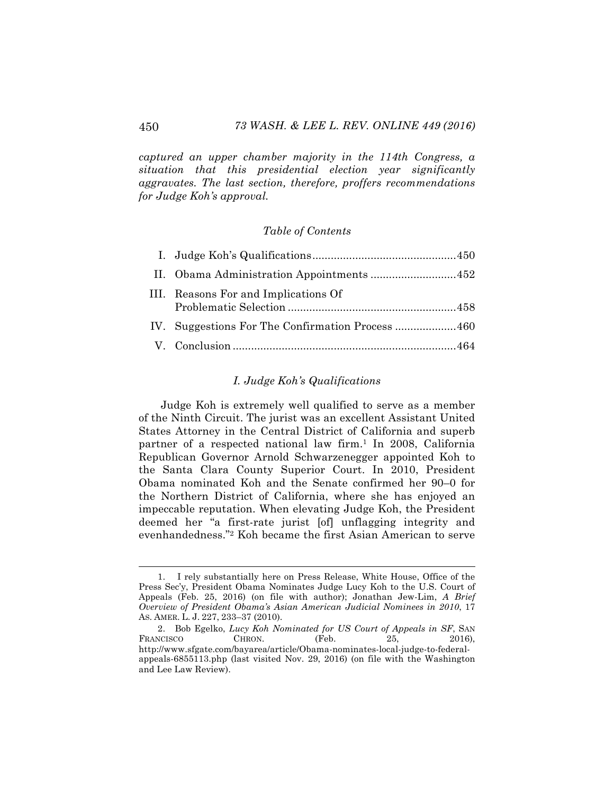*captured an upper chamber majority in the 114th Congress, a situation that this presidential election year significantly aggravates. The last section, therefore, proffers recommendations for Judge Koh's approval.*

#### *Table of Contents*

| III. Reasons For and Implications Of |
|--------------------------------------|
|                                      |
|                                      |

#### *I. Judge Koh's Qualifications*

Judge Koh is extremely well qualified to serve as a member of the Ninth Circuit. The jurist was an excellent Assistant United States Attorney in the Central District of California and superb partner of a respected national law firm.<sup>1</sup> In 2008, California Republican Governor Arnold Schwarzenegger appointed Koh to the Santa Clara County Superior Court. In 2010, President Obama nominated Koh and the Senate confirmed her 90–0 for the Northern District of California, where she has enjoyed an impeccable reputation. When elevating Judge Koh, the President deemed her "a first-rate jurist [of] unflagging integrity and evenhandedness."2 Koh became the first Asian American to serve

 <sup>1.</sup> I rely substantially here on Press Release, White House, Office of the Press Sec'y, President Obama Nominates Judge Lucy Koh to the U.S. Court of Appeals (Feb. 25, 2016) (on file with author); Jonathan Jew-Lim, *A Brief Overview of President Obama's Asian American Judicial Nominees in 2010*, 17 AS. AMER. L. J. 227, 233–37 (2010).

<sup>2.</sup> Bob Egelko, *Lucy Koh Nominated for US Court of Appeals in SF*, SAN FRANCISCO CHRON. (Feb. 25, 2016), http://www.sfgate.com/bayarea/article/Obama-nominates-local-judge-to-federalappeals-6855113.php (last visited Nov. 29, 2016) (on file with the Washington and Lee Law Review).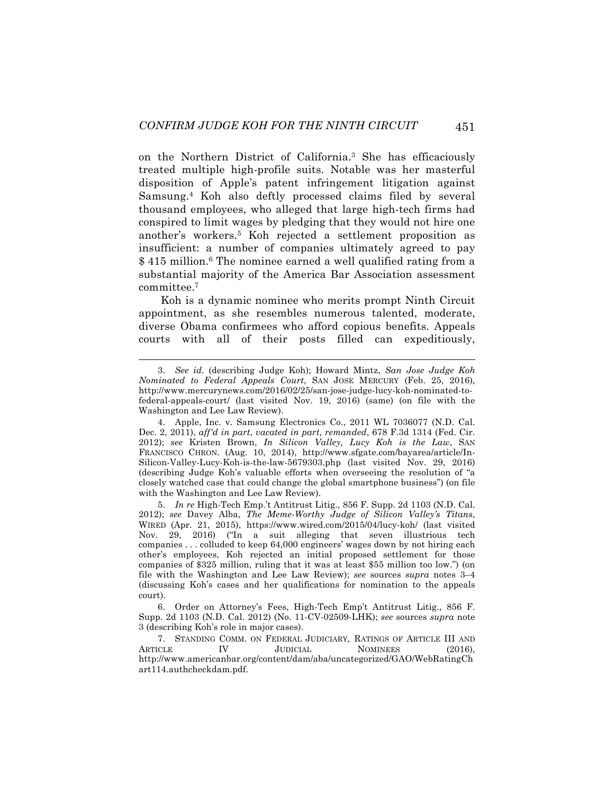on the Northern District of California. <sup>3</sup> She has efficaciously treated multiple high-profile suits. Notable was her masterful disposition of Apple's patent infringement litigation against Samsung.4 Koh also deftly processed claims filed by several thousand employees, who alleged that large high-tech firms had conspired to limit wages by pledging that they would not hire one another's workers.5 Koh rejected a settlement proposition as insufficient: a number of companies ultimately agreed to pay \$415 million.<sup>6</sup> The nominee earned a well qualified rating from a substantial majority of the America Bar Association assessment committee.7

Koh is a dynamic nominee who merits prompt Ninth Circuit appointment, as she resembles numerous talented, moderate, diverse Obama confirmees who afford copious benefits. Appeals courts with all of their posts filled can expeditiously,

 <sup>3.</sup> *See id.* (describing Judge Koh); Howard Mintz, *San Jose Judge Koh Nominated to Federal Appeals Court*, SAN JOSE MERCURY (Feb. 25, 2016), http://www.mercurynews.com/2016/02/25/san-jose-judge-lucy-koh-nominated-tofederal-appeals-court/ (last visited Nov. 19, 2016) (same) (on file with the Washington and Lee Law Review).

<sup>4.</sup> Apple, Inc. v. Samsung Electronics Co., 2011 WL 7036077 (N.D. Cal. Dec. 2, 2011), *aff'd in part*, *vacated in part*, *remanded*, 678 F.3d 1314 (Fed. Cir. 2012); *see* Kristen Brown, *In Silicon Valley, Lucy Koh is the Law*, SAN FRANCISCO CHRON. (Aug. 10, 2014), http://www.sfgate.com/bayarea/article/In-Silicon-Valley-Lucy-Koh-is-the-law-5679303.php (last visited Nov. 29, 2016) (describing Judge Koh's valuable efforts when overseeing the resolution of "a closely watched case that could change the global smartphone business") (on file with the Washington and Lee Law Review).

<sup>5.</sup> *In re* High-Tech Emp.'t Antitrust Litig., 856 F. Supp. 2d 1103 (N.D. Cal. 2012); *see* Davey Alba, *The Meme-Worthy Judge of Silicon Valley's Titans*, WIRED (Apr. 21, 2015), https://www.wired.com/2015/04/lucy-koh/ (last visited Nov. 29, 2016) ("In a suit alleging that seven illustrious tech companies . . . colluded to keep 64,000 engineers' wages down by not hiring each other's employees, Koh rejected an initial proposed settlement for those companies of \$325 million, ruling that it was at least \$55 million too low.") (on file with the Washington and Lee Law Review); *see* sources *supra* notes 3–4 (discussing Koh's cases and her qualifications for nomination to the appeals court).

<sup>6.</sup> Order on Attorney's Fees, High-Tech Emp't Antitrust Litig., 856 F. Supp. 2d 1103 (N.D. Cal. 2012) (No. 11-CV-02509-LHK); *see* sources *supra* note 3 (describing Koh's role in major cases).

<sup>7.</sup> STANDING COMM. ON FEDERAL JUDICIARY, RATINGS OF ARTICLE III AND ARTICLE IV JUDICIAL NOMINEES (2016) IV JUDICIAL NOMINEES (2016). http://www.americanbar.org/content/dam/aba/uncategorized/GAO/WebRatingCh art114.authcheckdam.pdf.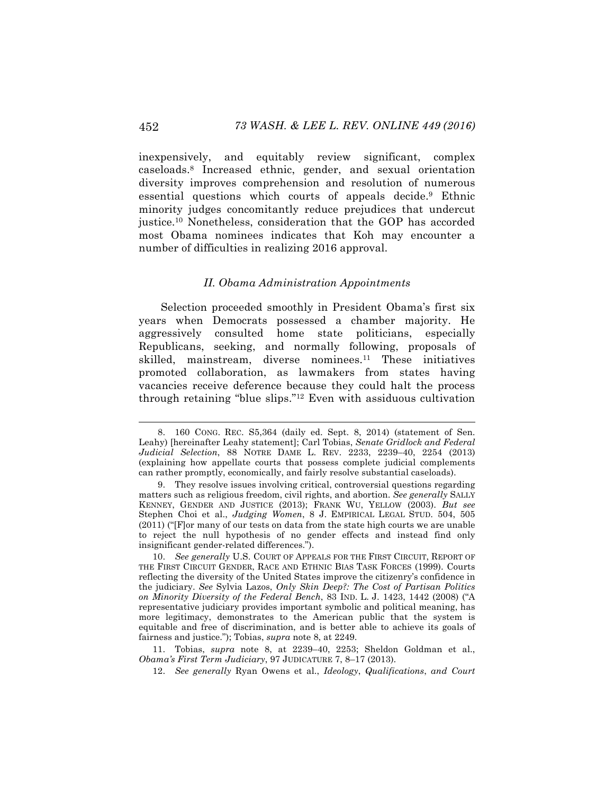inexpensively, and equitably review significant, complex caseloads.8 Increased ethnic, gender, and sexual orientation diversity improves comprehension and resolution of numerous essential questions which courts of appeals decide.9 Ethnic minority judges concomitantly reduce prejudices that undercut justice.10 Nonetheless, consideration that the GOP has accorded most Obama nominees indicates that Koh may encounter a number of difficulties in realizing 2016 approval.

#### *II. Obama Administration Appointments*

Selection proceeded smoothly in President Obama's first six years when Democrats possessed a chamber majority. He aggressively consulted home state politicians, especially Republicans, seeking, and normally following, proposals of skilled, mainstream, diverse nominees.<sup>11</sup> These initiatives promoted collaboration, as lawmakers from states having vacancies receive deference because they could halt the process through retaining "blue slips."12 Even with assiduous cultivation

 <sup>8.</sup> 160 CONG. REC. S5,364 (daily ed. Sept. 8, 2014) (statement of Sen. Leahy) [hereinafter Leahy statement]; Carl Tobias, *Senate Gridlock and Federal Judicial Selection*, 88 NOTRE DAME L. REV. 2233, 2239–40, 2254 (2013) (explaining how appellate courts that possess complete judicial complements can rather promptly, economically, and fairly resolve substantial caseloads).

<sup>9.</sup> They resolve issues involving critical, controversial questions regarding matters such as religious freedom, civil rights, and abortion. *See generally* SALLY KENNEY, GENDER AND JUSTICE (2013); FRANK WU, YELLOW (2003). *But see* Stephen Choi et al., *Judging Women*, 8 J. EMPIRICAL LEGAL STUD. 504, 505 (2011) ("[F]or many of our tests on data from the state high courts we are unable to reject the null hypothesis of no gender effects and instead find only insignificant gender-related differences.").

<sup>10.</sup> *See generally* U.S. COURT OF APPEALS FOR THE FIRST CIRCUIT, REPORT OF THE FIRST CIRCUIT GENDER, RACE AND ETHNIC BIAS TASK FORCES (1999). Courts reflecting the diversity of the United States improve the citizenry's confidence in the judiciary. *See* Sylvia Lazos, *Only Skin Deep?: The Cost of Partisan Politics on Minority Diversity of the Federal Bench*, 83 IND. L. J. 1423, 1442 (2008) ("A representative judiciary provides important symbolic and political meaning, has more legitimacy, demonstrates to the American public that the system is equitable and free of discrimination, and is better able to achieve its goals of fairness and justice."); Tobias, *supra* note 8, at 2249.

<sup>11.</sup> Tobias, *supra* note 8, at 2239–40, 2253; Sheldon Goldman et al., *Obama's First Term Judiciary*, 97 JUDICATURE 7, 8–17 (2013).

<sup>12.</sup> *See generally* Ryan Owens et al., *Ideology*, *Qualifications*, *and Court*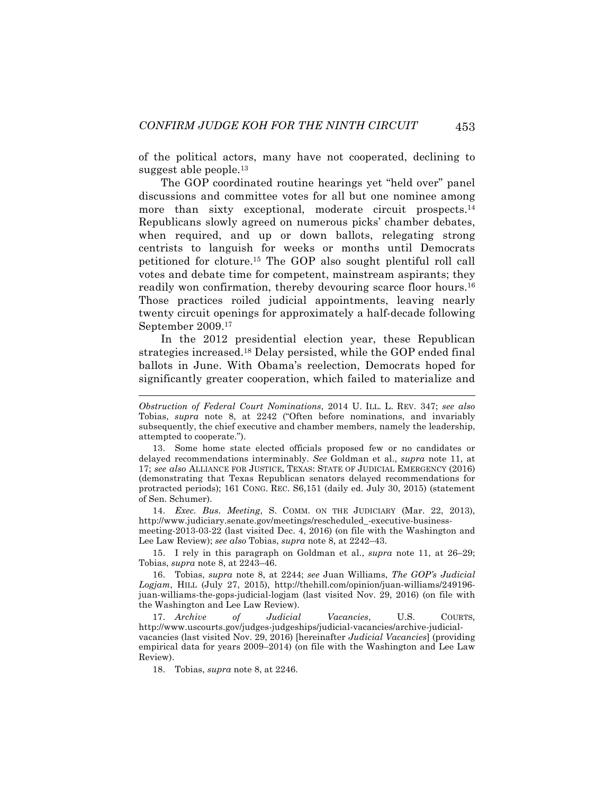of the political actors, many have not cooperated, declining to suggest able people.<sup>13</sup>

The GOP coordinated routine hearings yet "held over" panel discussions and committee votes for all but one nominee among more than sixty exceptional, moderate circuit prospects.<sup>14</sup> Republicans slowly agreed on numerous picks' chamber debates, when required, and up or down ballots, relegating strong centrists to languish for weeks or months until Democrats petitioned for cloture.15 The GOP also sought plentiful roll call votes and debate time for competent, mainstream aspirants; they readily won confirmation, thereby devouring scarce floor hours.<sup>16</sup> Those practices roiled judicial appointments, leaving nearly twenty circuit openings for approximately a half-decade following September 2009.17

In the 2012 presidential election year, these Republican strategies increased.18 Delay persisted, while the GOP ended final ballots in June. With Obama's reelection, Democrats hoped for significantly greater cooperation, which failed to materialize and

13. Some home state elected officials proposed few or no candidates or delayed recommendations interminably. *See* Goldman et al., *supra* note 11, at 17; *see also* ALLIANCE FOR JUSTICE, TEXAS: STATE OF JUDICIAL EMERGENCY (2016) (demonstrating that Texas Republican senators delayed recommendations for protracted periods); 161 CONG. REC. S6,151 (daily ed. July 30, 2015) (statement of Sen. Schumer).

14. *Exec. Bus. Meeting*, S. COMM. ON THE JUDICIARY (Mar. 22, 2013), http://www.judiciary.senate.gov/meetings/rescheduled\_-executive-businessmeeting-2013-03-22 (last visited Dec. 4, 2016) (on file with the Washington and

Lee Law Review); *see also* Tobias, *supra* note 8, at 2242–43.

15. I rely in this paragraph on Goldman et al., *supra* note 11, at 26–29; Tobias, *supra* note 8, at 2243–46.

16. Tobias, *supra* note 8, at 2244; *see* Juan Williams, *The GOP's Judicial Logjam*, HILL (July 27, 2015), http://thehill.com/opinion/juan-williams/249196 juan-williams-the-gops-judicial-logjam (last visited Nov. 29, 2016) (on file with the Washington and Lee Law Review).

17. *Archive of Judicial Vacancies*, U.S. COURTS, http://www.uscourts.gov/judges-judgeships/judicial-vacancies/archive-judicialvacancies (last visited Nov. 29, 2016) [hereinafter *Judicial Vacancies*] (providing empirical data for years 2009–2014) (on file with the Washington and Lee Law Review).

18. Tobias, *supra* note 8, at 2246.

 $\overline{a}$ 

*Obstruction of Federal Court Nominations*, 2014 U. ILL. L. REV. 347; *see also*  Tobias, *supra* note 8, at 2242 ("Often before nominations, and invariably subsequently, the chief executive and chamber members, namely the leadership, attempted to cooperate.").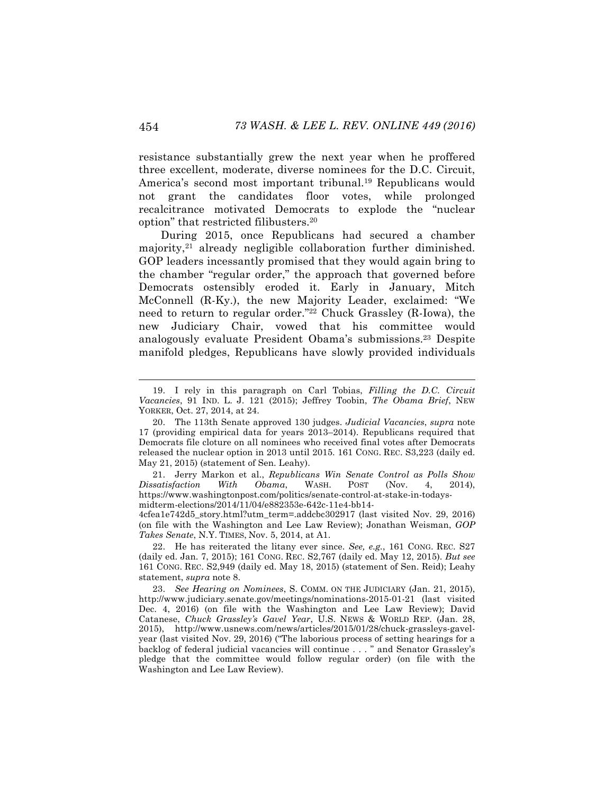resistance substantially grew the next year when he proffered three excellent, moderate, diverse nominees for the D.C. Circuit, America's second most important tribunal.19 Republicans would not grant the candidates floor votes, while prolonged recalcitrance motivated Democrats to explode the "nuclear option" that restricted filibusters.20

During 2015, once Republicans had secured a chamber majority,<sup>21</sup> already negligible collaboration further diminished. GOP leaders incessantly promised that they would again bring to the chamber "regular order," the approach that governed before Democrats ostensibly eroded it. Early in January, Mitch McConnell (R-Ky.), the new Majority Leader, exclaimed: "We need to return to regular order."22 Chuck Grassley (R-Iowa), the new Judiciary Chair, vowed that his committee would analogously evaluate President Obama's submissions.23 Despite manifold pledges, Republicans have slowly provided individuals

4cfea1e742d5\_story.html?utm\_term=.addcbc302917 (last visited Nov. 29, 2016) (on file with the Washington and Lee Law Review); Jonathan Weisman, *GOP Takes Senate*, N.Y. TIMES, Nov. 5, 2014, at A1.

 <sup>19.</sup> I rely in this paragraph on Carl Tobias, *Filling the D.C. Circuit Vacancies*, 91 IND. L. J. 121 (2015); Jeffrey Toobin, *The Obama Brief*, NEW YORKER, Oct. 27, 2014, at 24.

<sup>20.</sup> The 113th Senate approved 130 judges. *Judicial Vacancies*, *supra* note 17 (providing empirical data for years 2013–2014). Republicans required that Democrats file cloture on all nominees who received final votes after Democrats released the nuclear option in 2013 until 2015. 161 CONG. REC. S3,223 (daily ed. May 21, 2015) (statement of Sen. Leahy).

<sup>21.</sup> Jerry Markon et al., *Republicans Win Senate Control as Polls Show Dissatisfaction With Obama*, WASH. POST (Nov. 4, 2014), https://www.washingtonpost.com/politics/senate-control-at-stake-in-todaysmidterm-elections/2014/11/04/e882353e-642c-11e4-bb14-

<sup>22.</sup> He has reiterated the litany ever since. *See, e.g.*, 161 CONG. REC. S27 (daily ed. Jan. 7, 2015); 161 CONG. REC. S2,767 (daily ed. May 12, 2015). *But see*  161 CONG. REC. S2,949 (daily ed. May 18, 2015) (statement of Sen. Reid); Leahy statement, *supra* note 8.

<sup>23.</sup> *See Hearing on Nominees*, S. COMM. ON THE JUDICIARY (Jan. 21, 2015), http://www.judiciary.senate.gov/meetings/nominations-2015-01-21 (last visited Dec. 4, 2016) (on file with the Washington and Lee Law Review); David Catanese, *Chuck Grassley's Gavel Year*, U.S. NEWS & WORLD REP. (Jan. 28, 2015), http://www.usnews.com/news/articles/2015/01/28/chuck-grassleys-gavelyear (last visited Nov. 29, 2016) ("The laborious process of setting hearings for a backlog of federal judicial vacancies will continue . . . " and Senator Grassley's pledge that the committee would follow regular order) (on file with the Washington and Lee Law Review).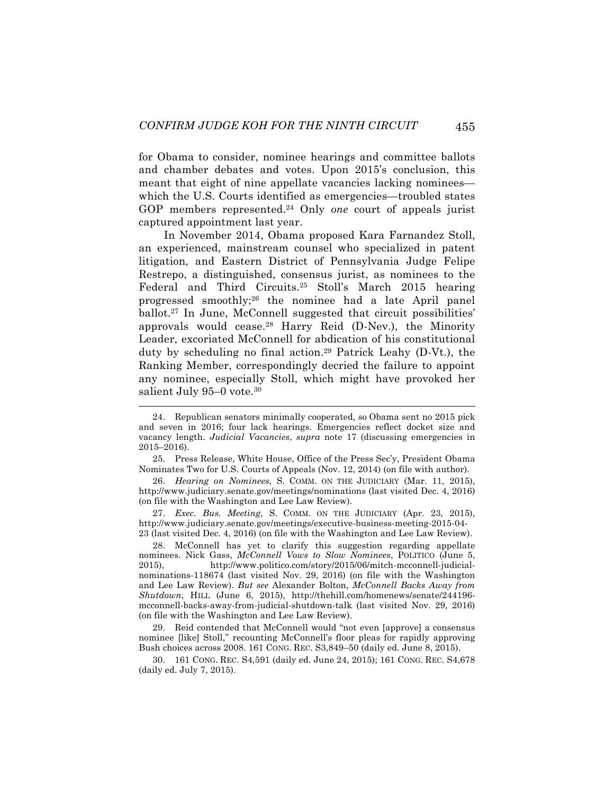for Obama to consider, nominee hearings and committee ballots and chamber debates and votes. Upon 2015's conclusion, this meant that eight of nine appellate vacancies lacking nominees which the U.S. Courts identified as emergencies—troubled states GOP members represented.24 Only *one* court of appeals jurist captured appointment last year.

In November 2014, Obama proposed Kara Farnandez Stoll, an experienced, mainstream counsel who specialized in patent litigation, and Eastern District of Pennsylvania Judge Felipe Restrepo, a distinguished, consensus jurist, as nominees to the Federal and Third Circuits.25 Stoll's March 2015 hearing progressed smoothly;26 the nominee had a late April panel ballot.27 In June, McConnell suggested that circuit possibilities' approvals would cease.<sup>28</sup> Harry Reid  $(D-New)$ , the Minority Leader, excoriated McConnell for abdication of his constitutional duty by scheduling no final action.29 Patrick Leahy (D-Vt.), the Ranking Member, correspondingly decried the failure to appoint any nominee, especially Stoll, which might have provoked her salient July 95-0 vote.<sup>30</sup>

25. Press Release, White House, Office of the Press Sec'y, President Obama Nominates Two for U.S. Courts of Appeals (Nov. 12, 2014) (on file with author).

26. *Hearing on Nominees*, S. COMM. ON THE JUDICIARY (Mar. 11, 2015), http://www.judiciary.senate.gov/meetings/nominations (last visited Dec. 4, 2016) (on file with the Washington and Lee Law Review).

27. *Exec. Bus. Meeting*, S. COMM. ON THE JUDICIARY (Apr. 23, 2015), http://www.judiciary.senate.gov/meetings/executive-business-meeting-2015-04- 23 (last visited Dec. 4, 2016) (on file with the Washington and Lee Law Review).

28. McConnell has yet to clarify this suggestion regarding appellate nominees. Nick Gass, *McConnell Vows to Slow Nominees*, POLITICO (June 5, 2015), http://www.politico.com/story/2015/06/mitch-mcconnell-judicialnominations-118674 (last visited Nov. 29, 2016) (on file with the Washington and Lee Law Review). *But see* Alexander Bolton, *McConnell Backs Away from Shutdown*, HILL (June 6, 2015), http://thehill.com/homenews/senate/244196 mcconnell-backs-away-from-judicial-shutdown-talk (last visited Nov. 29, 2016) (on file with the Washington and Lee Law Review).

29. Reid contended that McConnell would "not even [approve] a consensus nominee [like] Stoll," recounting McConnell's floor pleas for rapidly approving Bush choices across 2008. 161 CONG. REC. S3,849–50 (daily ed. June 8, 2015).

30. 161 CONG. REC. S4,591 (daily ed. June 24, 2015); 161 CONG. REC. S4,678 (daily ed. July 7, 2015).

 <sup>24.</sup> Republican senators minimally cooperated, so Obama sent no 2015 pick and seven in 2016; four lack hearings. Emergencies reflect docket size and vacancy length. *Judicial Vacancies*, *supra* note 17 (discussing emergencies in 2015–2016).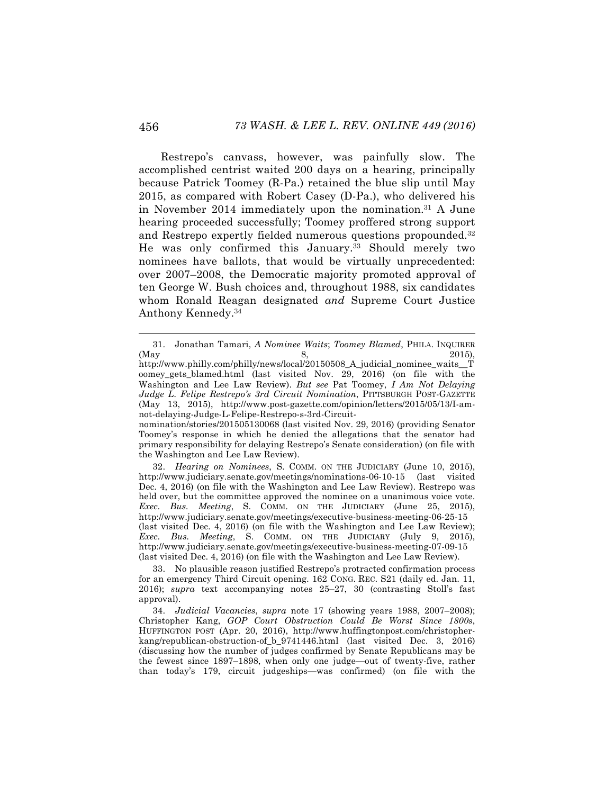Restrepo's canvass, however, was painfully slow. The accomplished centrist waited 200 days on a hearing, principally because Patrick Toomey (R-Pa.) retained the blue slip until May 2015, as compared with Robert Casey (D-Pa.), who delivered his in November 2014 immediately upon the nomination. <sup>31</sup> A June hearing proceeded successfully; Toomey proffered strong support and Restrepo expertly fielded numerous questions propounded.32 He was only confirmed this January.<sup>33</sup> Should merely two nominees have ballots, that would be virtually unprecedented: over 2007–2008, the Democratic majority promoted approval of ten George W. Bush choices and, throughout 1988, six candidates whom Ronald Reagan designated *and* Supreme Court Justice Anthony Kennedy.34

32. *Hearing on Nominees*, S. COMM. ON THE JUDICIARY (June 10, 2015), http://www.judiciary.senate.gov/meetings/nominations-06-10-15 (last visited Dec. 4, 2016) (on file with the Washington and Lee Law Review). Restrepo was held over, but the committee approved the nominee on a unanimous voice vote. *Exec. Bus. Meeting*, S. COMM. ON THE JUDICIARY (June 25, 2015), http://www.judiciary.senate.gov/meetings/executive-business-meeting-06-25-15 (last visited Dec. 4, 2016) (on file with the Washington and Lee Law Review); *Exec. Bus. Meeting*, S. COMM. ON THE JUDICIARY (July 9, 2015), http://www.judiciary.senate.gov/meetings/executive-business-meeting-07-09-15 (last visited Dec. 4, 2016) (on file with the Washington and Lee Law Review).

33. No plausible reason justified Restrepo's protracted confirmation process for an emergency Third Circuit opening. 162 CONG. REC. S21 (daily ed. Jan. 11, 2016); *supra* text accompanying notes 25–27, 30 (contrasting Stoll's fast approval).

34. *Judicial Vacancies*, *supra* note 17 (showing years 1988, 2007–2008); Christopher Kang, *GOP Court Obstruction Could Be Worst Since 1800s*, HUFFINGTON POST (Apr. 20, 2016), http://www.huffingtonpost.com/christopherkang/republican-obstruction-of\_b\_9741446.html (last visited Dec. 3, 2016) (discussing how the number of judges confirmed by Senate Republicans may be the fewest since 1897–1898, when only one judge—out of twenty-five, rather than today's 179, circuit judgeships—was confirmed) (on file with the

 <sup>31.</sup> Jonathan Tamari, *A Nominee Waits*; *Toomey Blamed*, PHILA. INQUIRER (May 2015), 8, 2015),

http://www.philly.com/philly/news/local/20150508\_A\_judicial\_nominee\_waits\_\_T oomey\_gets\_blamed.html (last visited Nov. 29, 2016) (on file with the Washington and Lee Law Review). *But see* Pat Toomey, *I Am Not Delaying Judge L. Felipe Restrepo's 3rd Circuit Nomination*, PITTSBURGH POST-GAZETTE (May 13, 2015), http://www.post-gazette.com/opinion/letters/2015/05/13/I-amnot-delaying-Judge-L-Felipe-Restrepo-s-3rd-Circuit-

nomination/stories/201505130068 (last visited Nov. 29, 2016) (providing Senator Toomey's response in which he denied the allegations that the senator had primary responsibility for delaying Restrepo's Senate consideration) (on file with the Washington and Lee Law Review).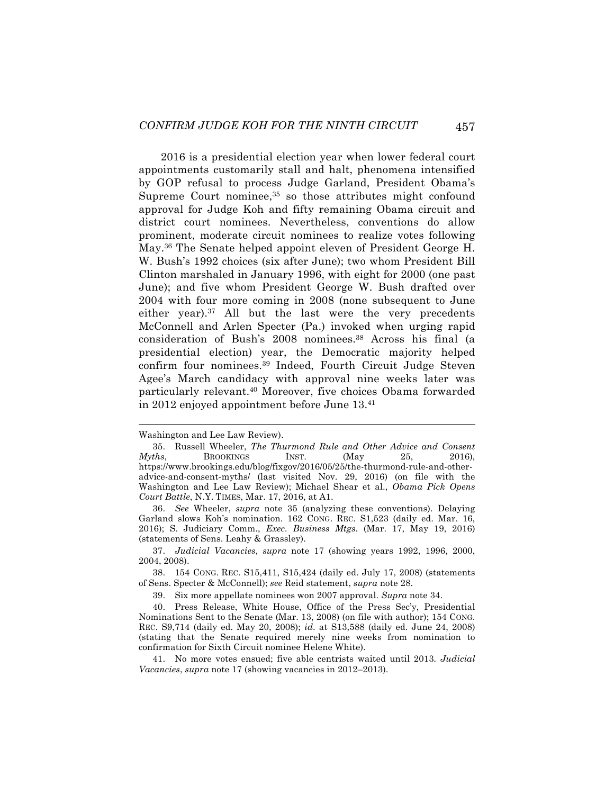2016 is a presidential election year when lower federal court appointments customarily stall and halt, phenomena intensified by GOP refusal to process Judge Garland, President Obama's Supreme Court nominee,<sup>35</sup> so those attributes might confound approval for Judge Koh and fifty remaining Obama circuit and district court nominees. Nevertheless, conventions do allow prominent, moderate circuit nominees to realize votes following May.36 The Senate helped appoint eleven of President George H. W. Bush's 1992 choices (six after June); two whom President Bill Clinton marshaled in January 1996, with eight for 2000 (one past June); and five whom President George W. Bush drafted over 2004 with four more coming in 2008 (none subsequent to June either year).<sup>37</sup> All but the last were the very precedents McConnell and Arlen Specter (Pa.) invoked when urging rapid consideration of Bush's 2008 nominees.38 Across his final (a presidential election) year, the Democratic majority helped confirm four nominees.39 Indeed, Fourth Circuit Judge Steven Agee's March candidacy with approval nine weeks later was particularly relevant.40 Moreover, five choices Obama forwarded in 2012 enjoyed appointment before June 13.41

Washington and Lee Law Review).

<sup>35.</sup> Russell Wheeler, *The Thurmond Rule and Other Advice and Consent Myths*, BROOKINGS INST. (May 25, 2016), https://www.brookings.edu/blog/fixgov/2016/05/25/the-thurmond-rule-and-otheradvice-and-consent-myths/ (last visited Nov. 29, 2016) (on file with the Washington and Lee Law Review); Michael Shear et al., *Obama Pick Opens Court Battle*, N.Y. TIMES, Mar. 17, 2016, at A1.

<sup>36.</sup> *See* Wheeler, *supra* note 35 (analyzing these conventions). Delaying Garland slows Koh's nomination. 162 CONG. REC. S1,523 (daily ed. Mar. 16, 2016); S. Judiciary Comm., *Exec. Business Mtgs*. (Mar. 17, May 19, 2016) (statements of Sens. Leahy & Grassley).

<sup>37.</sup> *Judicial Vacancies*, *supra* note 17 (showing years 1992, 1996, 2000, 2004, 2008).

<sup>38.</sup> 154 CONG. REC. S15,411, S15,424 (daily ed. July 17, 2008) (statements of Sens. Specter & McConnell); *see* Reid statement, *supra* note 28.

<sup>39.</sup> Six more appellate nominees won 2007 approval. *Supra* note 34.

<sup>40.</sup> Press Release, White House, Office of the Press Sec'y, Presidential Nominations Sent to the Senate (Mar. 13, 2008) (on file with author); 154 CONG. REC. S9,714 (daily ed. May 20, 2008); *id*. at S13,588 (daily ed. June 24, 2008) (stating that the Senate required merely nine weeks from nomination to confirmation for Sixth Circuit nominee Helene White).

<sup>41.</sup> No more votes ensued; five able centrists waited until 2013*. Judicial Vacancies*, *supra* note 17 (showing vacancies in 2012–2013).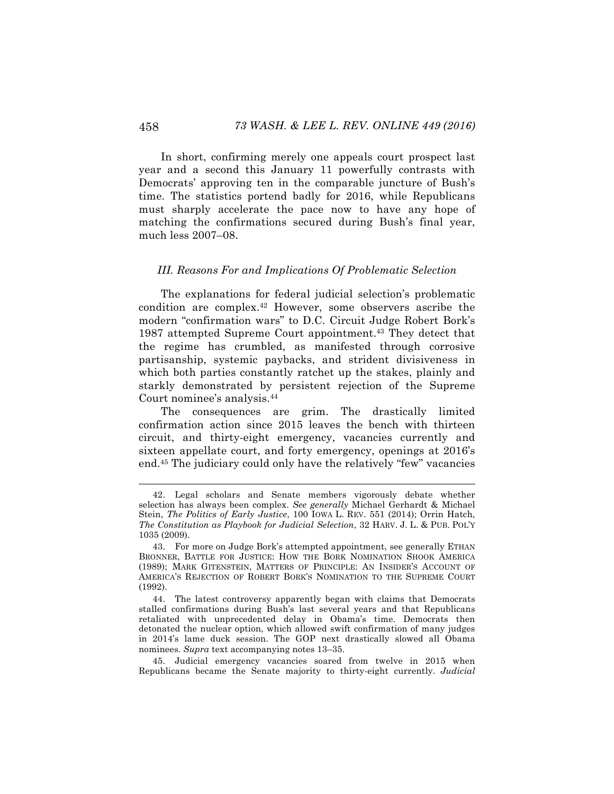In short, confirming merely one appeals court prospect last year and a second this January 11 powerfully contrasts with Democrats' approving ten in the comparable juncture of Bush's time. The statistics portend badly for 2016, while Republicans must sharply accelerate the pace now to have any hope of matching the confirmations secured during Bush's final year, much less 2007–08.

#### *III. Reasons For and Implications Of Problematic Selection*

The explanations for federal judicial selection's problematic condition are complex.42 However, some observers ascribe the modern "confirmation wars" to D.C. Circuit Judge Robert Bork's 1987 attempted Supreme Court appointment.<sup>43</sup> They detect that the regime has crumbled, as manifested through corrosive partisanship, systemic paybacks, and strident divisiveness in which both parties constantly ratchet up the stakes, plainly and starkly demonstrated by persistent rejection of the Supreme Court nominee's analysis.44

The consequences are grim. The drastically limited confirmation action since 2015 leaves the bench with thirteen circuit, and thirty-eight emergency, vacancies currently and sixteen appellate court, and forty emergency, openings at 2016's end.45 The judiciary could only have the relatively "few" vacancies

 <sup>42.</sup> Legal scholars and Senate members vigorously debate whether selection has always been complex. *See generally* Michael Gerhardt & Michael Stein, *The Politics of Early Justice*, 100 IOWA L. REV. 551 (2014); Orrin Hatch, *The Constitution as Playbook for Judicial Selection*, 32 HARV. J. L. & PUB. POL'Y 1035 (2009).

<sup>43.</sup> For more on Judge Bork's attempted appointment, see generally ETHAN BRONNER, BATTLE FOR JUSTICE: HOW THE BORK NOMINATION SHOOK AMERICA (1989); MARK GITENSTEIN, MATTERS OF PRINCIPLE: AN INSIDER'S ACCOUNT OF AMERICA'S REJECTION OF ROBERT BORK'S NOMINATION TO THE SUPREME COURT (1992).

<sup>44.</sup> The latest controversy apparently began with claims that Democrats stalled confirmations during Bush's last several years and that Republicans retaliated with unprecedented delay in Obama's time. Democrats then detonated the nuclear option, which allowed swift confirmation of many judges in 2014's lame duck session. The GOP next drastically slowed all Obama nominees. *Supra* text accompanying notes 13–35.

<sup>45.</sup> Judicial emergency vacancies soared from twelve in 2015 when Republicans became the Senate majority to thirty-eight currently. *Judicial*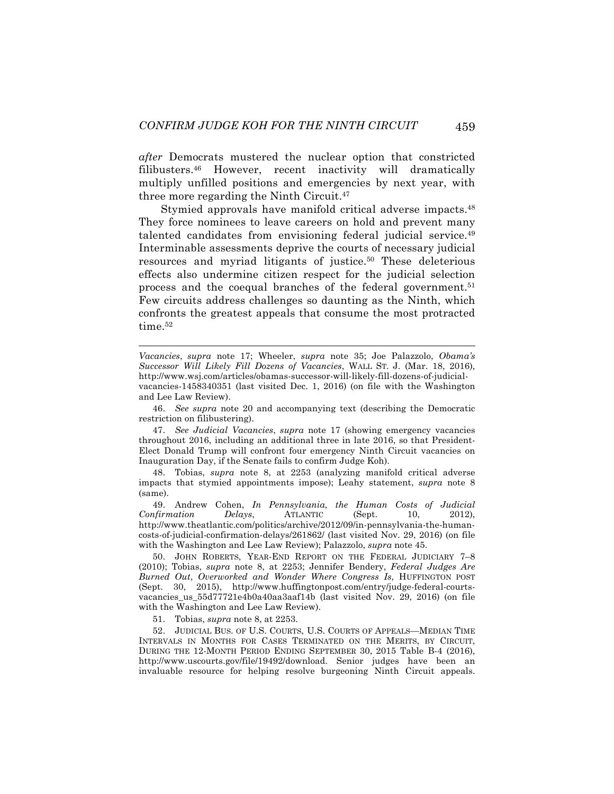*after* Democrats mustered the nuclear option that constricted filibusters.46 However, recent inactivity will dramatically multiply unfilled positions and emergencies by next year, with three more regarding the Ninth Circuit.47

Stymied approvals have manifold critical adverse impacts.<sup>48</sup> They force nominees to leave careers on hold and prevent many talented candidates from envisioning federal judicial service. 49 Interminable assessments deprive the courts of necessary judicial resources and myriad litigants of justice.50 These deleterious effects also undermine citizen respect for the judicial selection process and the coequal branches of the federal government.51 Few circuits address challenges so daunting as the Ninth, which confronts the greatest appeals that consume the most protracted time.<sup>52</sup>

*Vacancies*, *supra* note 17; Wheeler, *supra* note 35; Joe Palazzolo, *Obama's Successor Will Likely Fill Dozens of Vacancies*, WALL ST. J. (Mar. 18, 2016), http://www.wsj.com/articles/obamas-successor-will-likely-fill-dozens-of-judicialvacancies-1458340351 (last visited Dec. 1, 2016) (on file with the Washington and Lee Law Review).

46. *See supra* note 20 and accompanying text (describing the Democratic restriction on filibustering).

47. *See Judicial Vacancies*, *supra* note 17 (showing emergency vacancies throughout 2016, including an additional three in late 2016, so that President-Elect Donald Trump will confront four emergency Ninth Circuit vacancies on Inauguration Day, if the Senate fails to confirm Judge Koh).

48. Tobias, *supra* note 8, at 2253 (analyzing manifold critical adverse impacts that stymied appointments impose); Leahy statement, *supra* note 8 (same).

49. Andrew Cohen, *In Pennsylvania, the Human Costs of Judicial Confirmation Delays*, ATLANTIC (Sept. http://www.theatlantic.com/politics/archive/2012/09/in-pennsylvania-the-humancosts-of-judicial-confirmation-delays/261862/ (last visited Nov. 29, 2016) (on file with the Washington and Lee Law Review); Palazzolo, *supra* note 45.

50. JOHN ROBERTS, YEAR-END REPORT ON THE FEDERAL JUDICIARY 7–8 (2010); Tobias, *supra* note 8, at 2253; Jennifer Bendery, *Federal Judges Are Burned Out*, *Overworked and Wonder Where Congress Is*, HUFFINGTON POST (Sept. 30, 2015), http://www.huffingtonpost.com/entry/judge-federal-courtsvacancies\_us\_55d77721e4b0a40aa3aaf14b (last visited Nov. 29, 2016) (on file with the Washington and Lee Law Review).

51. Tobias, *supra* note 8, at 2253.

 $\overline{a}$ 

52. JUDICIAL BUS. OF U.S. COURTS, U.S. COURTS OF APPEALS—MEDIAN TIME INTERVALS IN MONTHS FOR CASES TERMINATED ON THE MERITS, BY CIRCUIT, DURING THE 12-MONTH PERIOD ENDING SEPTEMBER 30, 2015 Table B-4 (2016), http://www.uscourts.gov/file/19492/download. Senior judges have been an invaluable resource for helping resolve burgeoning Ninth Circuit appeals.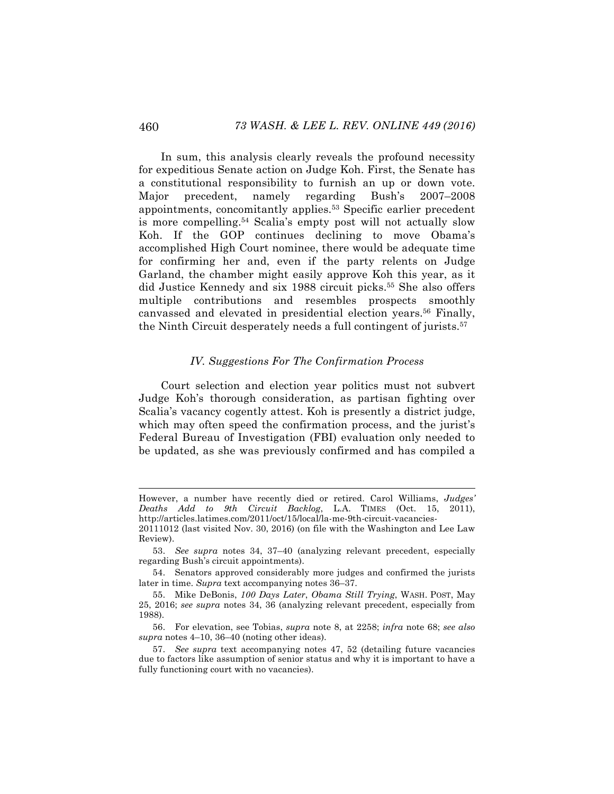In sum, this analysis clearly reveals the profound necessity for expeditious Senate action on Judge Koh. First, the Senate has a constitutional responsibility to furnish an up or down vote. Major precedent, namely regarding Bush's 2007–2008 appointments, concomitantly applies.53 Specific earlier precedent is more compelling.54 Scalia's empty post will not actually slow Koh. If the GOP continues declining to move Obama's accomplished High Court nominee, there would be adequate time for confirming her and, even if the party relents on Judge Garland, the chamber might easily approve Koh this year, as it did Justice Kennedy and six 1988 circuit picks.55 She also offers multiple contributions and resembles prospects smoothly canvassed and elevated in presidential election years.56 Finally, the Ninth Circuit desperately needs a full contingent of jurists.<sup>57</sup>

#### *IV. Suggestions For The Confirmation Process*

Court selection and election year politics must not subvert Judge Koh's thorough consideration, as partisan fighting over Scalia's vacancy cogently attest. Koh is presently a district judge, which may often speed the confirmation process, and the jurist's Federal Bureau of Investigation (FBI) evaluation only needed to be updated, as she was previously confirmed and has compiled a

However, a number have recently died or retired. Carol Williams, *Judges' Deaths Add to 9th Circuit Backlog*, L.A. TIMES (Oct. 15, 2011), http://articles.latimes.com/2011/oct/15/local/la-me-9th-circuit-vacancies-

<sup>20111012 (</sup>last visited Nov. 30, 2016) (on file with the Washington and Lee Law Review).

<sup>53.</sup> *See supra* notes 34, 37–40 (analyzing relevant precedent, especially regarding Bush's circuit appointments).

<sup>54.</sup> Senators approved considerably more judges and confirmed the jurists later in time. *Supra* text accompanying notes 36–37.

<sup>55.</sup> Mike DeBonis, *100 Days Later*, *Obama Still Trying*, WASH. POST, May 25, 2016; *see supra* notes 34, 36 (analyzing relevant precedent, especially from 1988).

<sup>56.</sup> For elevation, see Tobias, *supra* note 8, at 2258; *infra* note 68; *see also supra* notes 4–10, 36–40 (noting other ideas).

<sup>57.</sup> *See supra* text accompanying notes 47, 52 (detailing future vacancies due to factors like assumption of senior status and why it is important to have a fully functioning court with no vacancies).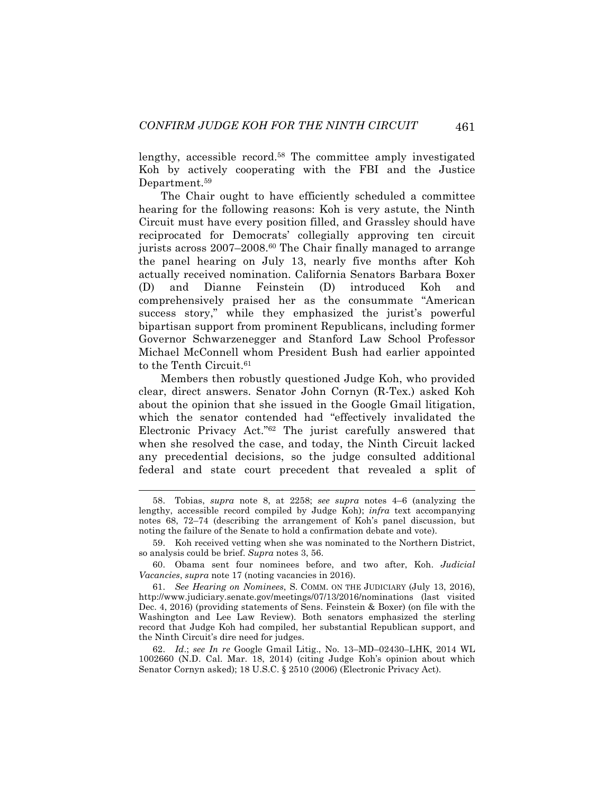lengthy, accessible record.58 The committee amply investigated Koh by actively cooperating with the FBI and the Justice Department.<sup>59</sup>

The Chair ought to have efficiently scheduled a committee hearing for the following reasons: Koh is very astute, the Ninth Circuit must have every position filled, and Grassley should have reciprocated for Democrats' collegially approving ten circuit jurists across 2007–2008.<sup>60</sup> The Chair finally managed to arrange the panel hearing on July 13, nearly five months after Koh actually received nomination. California Senators Barbara Boxer (D) and Dianne Feinstein (D) introduced Koh and comprehensively praised her as the consummate "American success story," while they emphasized the jurist's powerful bipartisan support from prominent Republicans, including former Governor Schwarzenegger and Stanford Law School Professor Michael McConnell whom President Bush had earlier appointed to the Tenth Circuit.<sup>61</sup>

Members then robustly questioned Judge Koh, who provided clear, direct answers. Senator John Cornyn (R-Tex.) asked Koh about the opinion that she issued in the Google Gmail litigation, which the senator contended had "effectively invalidated the Electronic Privacy Act."62 The jurist carefully answered that when she resolved the case, and today, the Ninth Circuit lacked any precedential decisions, so the judge consulted additional federal and state court precedent that revealed a split of

 <sup>58.</sup> Tobias, *supra* note 8, at 2258; *see supra* notes 4–6 (analyzing the lengthy, accessible record compiled by Judge Koh); *infra* text accompanying notes 68, 72–74 (describing the arrangement of Koh's panel discussion, but noting the failure of the Senate to hold a confirmation debate and vote).

<sup>59.</sup> Koh received vetting when she was nominated to the Northern District, so analysis could be brief. *Supra* notes 3, 56.

<sup>60.</sup> Obama sent four nominees before, and two after, Koh. *Judicial Vacancies*, *supra* note 17 (noting vacancies in 2016).

<sup>61.</sup> *See Hearing on Nominees*, S. COMM. ON THE JUDICIARY (July 13, 2016), http://www.judiciary.senate.gov/meetings/07/13/2016/nominations (last visited Dec. 4, 2016) (providing statements of Sens. Feinstein & Boxer) (on file with the Washington and Lee Law Review). Both senators emphasized the sterling record that Judge Koh had compiled, her substantial Republican support, and the Ninth Circuit's dire need for judges.

<sup>62.</sup> *Id*.; *see In re* Google Gmail Litig., No. 13–MD–02430–LHK, 2014 WL 1002660 (N.D. Cal. Mar. 18, 2014) (citing Judge Koh's opinion about which Senator Cornyn asked); 18 U.S.C. § 2510 (2006) (Electronic Privacy Act).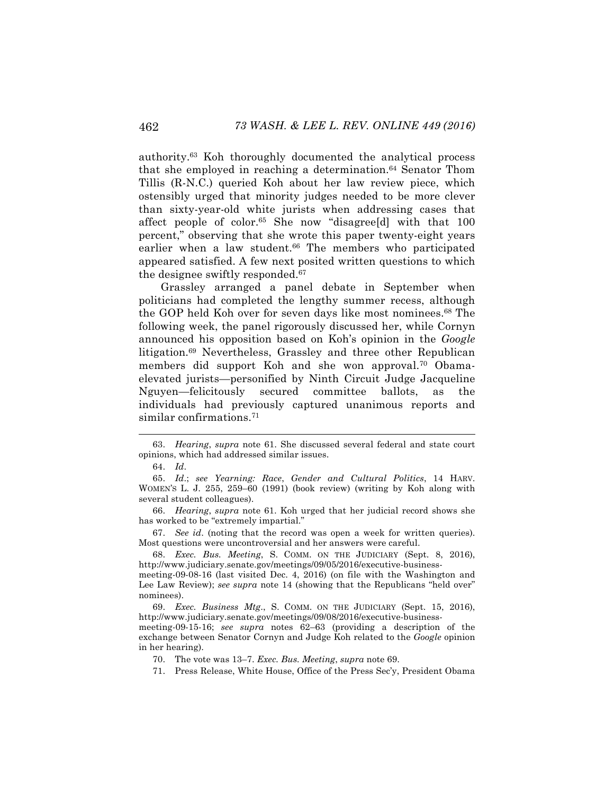authority.63 Koh thoroughly documented the analytical process that she employed in reaching a determination.<sup>64</sup> Senator Thom Tillis (R-N.C.) queried Koh about her law review piece, which ostensibly urged that minority judges needed to be more clever than sixty-year-old white jurists when addressing cases that affect people of color.<sup>65</sup> She now "disagree<sup>[d]</sup> with that 100 percent," observing that she wrote this paper twenty-eight years earlier when a law student.<sup>66</sup> The members who participated appeared satisfied. A few next posited written questions to which the designee swiftly responded.67

Grassley arranged a panel debate in September when politicians had completed the lengthy summer recess, although the GOP held Koh over for seven days like most nominees.68 The following week, the panel rigorously discussed her, while Cornyn announced his opposition based on Koh's opinion in the *Google* litigation.69 Nevertheless, Grassley and three other Republican members did support Koh and she won approval.70 Obamaelevated jurists—personified by Ninth Circuit Judge Jacqueline Nguyen—felicitously secured committee ballots, as the individuals had previously captured unanimous reports and similar confirmations.<sup>71</sup>

67. *See id*. (noting that the record was open a week for written queries). Most questions were uncontroversial and her answers were careful.

68. *Exec. Bus. Meeting*, S. COMM. ON THE JUDICIARY (Sept. 8, 2016), http://www.judiciary.senate.gov/meetings/09/05/2016/executive-business-

meeting-09-08-16 (last visited Dec. 4, 2016) (on file with the Washington and Lee Law Review); *see supra* note 14 (showing that the Republicans "held over" nominees).

69. *Exec. Business Mtg*., S. COMM. ON THE JUDICIARY (Sept. 15, 2016), http://www.judiciary.senate.gov/meetings/09/08/2016/executive-business-

meeting-09-15-16; *see supra* notes 62–63 (providing a description of the exchange between Senator Cornyn and Judge Koh related to the *Google* opinion in her hearing).

70. The vote was 13–7. *Exec. Bus. Meeting*, *supra* note 69.

71. Press Release, White House, Office of the Press Sec'y, President Obama

 <sup>63.</sup> *Hearing*, *supra* note 61. She discussed several federal and state court opinions, which had addressed similar issues.

<sup>64.</sup> *Id*.

<sup>65.</sup> *Id*.; *see Yearning: Race*, *Gender and Cultural Politics*, 14 HARV. WOMEN'S L. J. 255, 259–60 (1991) (book review) (writing by Koh along with several student colleagues).

<sup>66.</sup> *Hearing*, *supra* note 61. Koh urged that her judicial record shows she has worked to be "extremely impartial."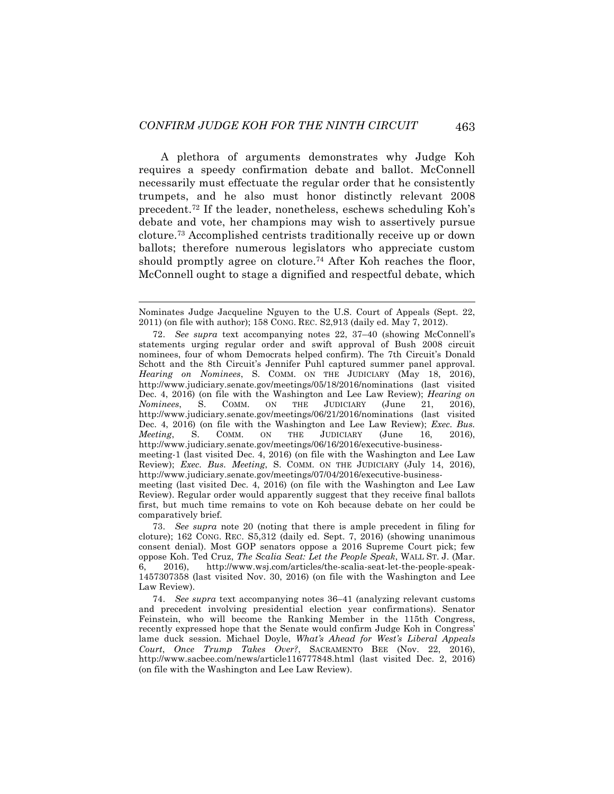A plethora of arguments demonstrates why Judge Koh requires a speedy confirmation debate and ballot. McConnell necessarily must effectuate the regular order that he consistently trumpets, and he also must honor distinctly relevant 2008 precedent.72 If the leader, nonetheless, eschews scheduling Koh's debate and vote, her champions may wish to assertively pursue cloture.73 Accomplished centrists traditionally receive up or down ballots; therefore numerous legislators who appreciate custom should promptly agree on cloture.<sup>74</sup> After Koh reaches the floor, McConnell ought to stage a dignified and respectful debate, which

Nominates Judge Jacqueline Nguyen to the U.S. Court of Appeals (Sept. 22, 2011) (on file with author); 158 CONG. REC. S2,913 (daily ed. May 7, 2012).

<sup>72.</sup> *See supra* text accompanying notes 22, 37–40 (showing McConnell's statements urging regular order and swift approval of Bush 2008 circuit nominees, four of whom Democrats helped confirm). The 7th Circuit's Donald Schott and the 8th Circuit's Jennifer Puhl captured summer panel approval. *Hearing on Nominees*, S. COMM. ON THE JUDICIARY (May 18, 2016), http://www.judiciary.senate.gov/meetings/05/18/2016/nominations (last visited Dec. 4, 2016) (on file with the Washington and Lee Law Review); *Hearing on Nominees*, S. COMM. ON THE JUDICIARY (June 21, 2016), http://www.judiciary.senate.gov/meetings/06/21/2016/nominations (last visited Dec. 4, 2016) (on file with the Washington and Lee Law Review); *Exec. Bus. Meeting*, S. COMM. ON THE JUDICIARY (June 16, 2016), http://www.judiciary.senate.gov/meetings/06/16/2016/executive-businessmeeting-1 (last visited Dec. 4, 2016) (on file with the Washington and Lee Law Review); *Exec. Bus. Meeting*, S. COMM. ON THE JUDICIARY (July 14, 2016), http://www.judiciary.senate.gov/meetings/07/04/2016/executive-businessmeeting (last visited Dec. 4, 2016) (on file with the Washington and Lee Law Review). Regular order would apparently suggest that they receive final ballots first, but much time remains to vote on Koh because debate on her could be comparatively brief.

<sup>73.</sup> *See supra* note 20 (noting that there is ample precedent in filing for cloture); 162 CONG. REC. S5,312 (daily ed. Sept. 7, 2016) (showing unanimous consent denial). Most GOP senators oppose a 2016 Supreme Court pick; few oppose Koh. Ted Cruz, *The Scalia Seat: Let the People Speak*, WALL ST. J. (Mar. 6, 2016), http://www.wsj.com/articles/the-scalia-seat-let-the-people-speak-1457307358 (last visited Nov. 30, 2016) (on file with the Washington and Lee Law Review).

<sup>74.</sup> *See supra* text accompanying notes 36–41 (analyzing relevant customs and precedent involving presidential election year confirmations). Senator Feinstein, who will become the Ranking Member in the 115th Congress, recently expressed hope that the Senate would confirm Judge Koh in Congress' lame duck session. Michael Doyle, *What's Ahead for West's Liberal Appeals Court*, *Once Trump Takes Over?*, SACRAMENTO BEE (Nov. 22, 2016), http://www.sacbee.com/news/article116777848.html (last visited Dec. 2, 2016) (on file with the Washington and Lee Law Review).